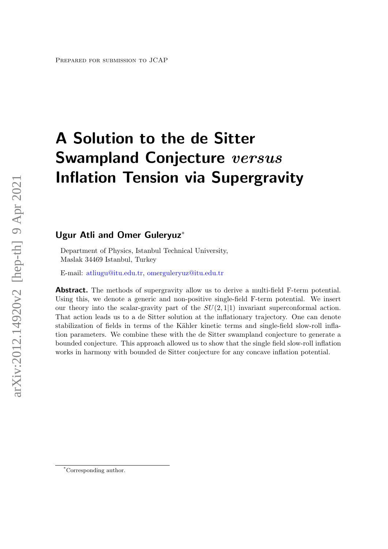# A Solution to the de Sitter **Swampland Conjecture** versus Inflation Tension via Supergravity

# Ugur Atli and Omer Guleryuz<sup>\*</sup>

Department of Physics, Istanbul Technical University, Maslak 34469 Istanbul, Turkey

E-mail: [atliugu@itu.edu.tr,](mailto:atliugu@itu.edu.tr) [omerguleryuz@itu.edu.tr](mailto:omerguleryuz@itu.edu.tr)

**Abstract.** The methods of supergravity allow us to derive a multi-field F-term potential. Using this, we denote a generic and non-positive single-field F-term potential. We insert our theory into the scalar-gravity part of the  $SU(2, 1|1)$  invariant superconformal action. That action leads us to a de Sitter solution at the inflationary trajectory. One can denote stabilization of fields in terms of the Kähler kinetic terms and single-field slow-roll inflation parameters. We combine these with the de Sitter swampland conjecture to generate a bounded conjecture. This approach allowed us to show that the single field slow-roll inflation works in harmony with bounded de Sitter conjecture for any concave inflation potential.

<sup>\*</sup>Corresponding author.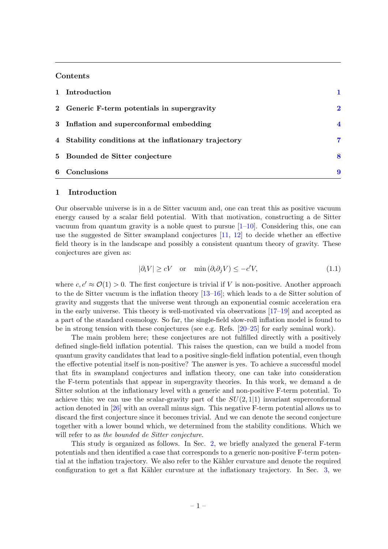#### **Contents**

| 1 Introduction                                        |                         |
|-------------------------------------------------------|-------------------------|
| 2 Generic F-term potentials in supergravity           | $\bf{2}$                |
| 3 Inflation and superconformal embedding              | $\overline{\mathbf{4}}$ |
| 4 Stability conditions at the inflationary trajectory | 7                       |
| 5 Bounded de Sitter conjecture                        | 8                       |
| 6 Conclusions                                         | 9                       |

#### <span id="page-1-0"></span>1 Introduction

Our observable universe is in a de Sitter vacuum and, one can treat this as positive vacuum energy caused by a scalar field potential. With that motivation, constructing a de Sitter vacuum from quantum gravity is a noble quest to pursue  $[1-10]$  $[1-10]$ . Considering this, one can use the suggested de Sitter swampland conjectures [\[11,](#page-10-1) [12\]](#page-10-2) to decide whether an effective field theory is in the landscape and possibly a consistent quantum theory of gravity. These conjectures are given as:

$$
|\partial_i V| \ge cV \quad \text{or} \quad \min(\partial_i \partial_j V) \le -c'V,\tag{1.1}
$$

where  $c, c' \approx \mathcal{O}(1) > 0$ . The first conjecture is trivial if V is non-positive. Another approach to the de Sitter vacuum is the inflation theory [\[13–](#page-10-3)[16\]](#page-10-4); which leads to a de Sitter solution of gravity and suggests that the universe went through an exponential cosmic acceleration era in the early universe. This theory is well-motivated via observations [\[17–](#page-10-5)[19\]](#page-10-6) and accepted as a part of the standard cosmology. So far, the single-field slow-roll inflation model is found to be in strong tension with these conjectures (see e.g. Refs. [\[20–](#page-10-7)[25\]](#page-10-8) for early seminal work).

The main problem here; these conjectures are not fulfilled directly with a positively defined single-field inflation potential. This raises the question, can we build a model from quantum gravity candidates that lead to a positive single-field inflation potential, even though the effective potential itself is non-positive? The answer is yes. To achieve a successful model that fits in swampland conjectures and inflation theory, one can take into consideration the F-term potentials that appear in supergravity theories. In this work, we demand a de Sitter solution at the inflationary level with a generic and non-positive F-term potential. To achieve this; we can use the scalar-gravity part of the  $SU(2,1|1)$  invariant superconformal action denoted in [\[26\]](#page-11-0) with an overall minus sign. This negative F-term potential allows us to discard the first conjecture since it becomes trivial. And we can denote the second conjecture together with a lower bound which, we determined from the stability conditions. Which we will refer to as the bounded de Sitter conjecture.

This study is organized as follows. In Sec. [2,](#page-2-0) we briefly analyzed the general F-term potentials and then identified a case that corresponds to a generic non-positive F-term potential at the inflation trajectory. We also refer to the Kähler curvature and denote the required configuration to get a flat Kähler curvature at the inflationary trajectory. In Sec. [3,](#page-4-0) we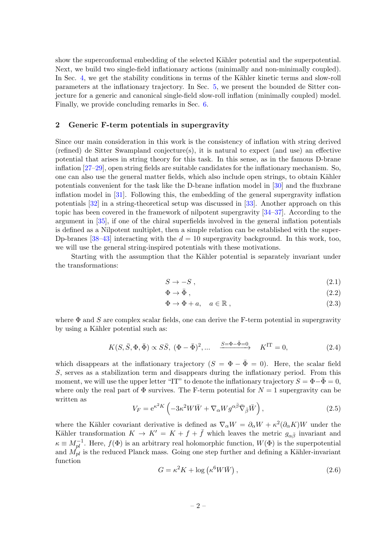show the superconformal embedding of the selected Kähler potential and the superpotential. Next, we build two single-field inflationary actions (minimally and non-minimally coupled). In Sec. [4,](#page-7-0) we get the stability conditions in terms of the Kähler kinetic terms and slow-roll parameters at the inflationary trajectory. In Sec. [5,](#page-8-0) we present the bounded de Sitter conjecture for a generic and canonical single-field slow-roll inflation (minimally coupled) model. Finally, we provide concluding remarks in Sec. [6.](#page-9-0)

## <span id="page-2-0"></span>2 Generic F-term potentials in supergravity

Since our main consideration in this work is the consistency of inflation with string derived (refined) de Sitter Swampland conjecture(s), it is natural to expect (and use) an effective potential that arises in string theory for this task. In this sense, as in the famous D-brane inflation [\[27](#page-11-1)[–29\]](#page-11-2), open string fields are suitable candidates for the inflationary mechanism. So, one can also use the general matter fields, which also include open strings, to obtain Kähler potentials convenient for the task like the D-brane inflation model in [\[30\]](#page-11-3) and the fluxbrane inflation model in [\[31\]](#page-11-4). Following this, the embedding of the general supergravity inflation potentials [\[32\]](#page-11-5) in a string-theoretical setup was discussed in [\[33\]](#page-11-6). Another approach on this topic has been covered in the framework of nilpotent supergravity [\[34–](#page-11-7)[37\]](#page-11-8). According to the argument in [\[35\]](#page-11-9), if one of the chiral superfields involved in the general inflation potentials is defined as a Nilpotent multiplet, then a simple relation can be established with the super-Dp-branes [\[38](#page-11-10)[–43\]](#page-11-11) interacting with the  $d = 10$  supergravity background. In this work, too, we will use the general string-inspired potentials with these motivations.

Starting with the assumption that the Kähler potential is separately invariant under the transformations:

<span id="page-2-1"></span>
$$
S \to -S \,,\tag{2.1}
$$

<span id="page-2-2"></span>
$$
\Phi \to \bar{\Phi} \;, \tag{2.2}
$$

<span id="page-2-3"></span>
$$
\Phi \to \Phi + a, \quad a \in \mathbb{R} \;, \tag{2.3}
$$

where  $\Phi$  and S are complex scalar fields, one can derive the F-term potential in supergravity by using a Kähler potential such as:

$$
K(S, \bar{S}, \Phi, \bar{\Phi}) \propto S\bar{S}, \ (\Phi - \bar{\Phi})^2, \dots \quad \xrightarrow{S = \Phi - \bar{\Phi} = 0} \quad K^{\text{IT}} = 0,
$$
\n
$$
(2.4)
$$

which disappears at the inflationary trajectory  $(S = \Phi - \bar{\Phi} = 0)$ . Here, the scalar field S, serves as a stabilization term and disappears during the inflationary period. From this moment, we will use the upper letter "IT" to denote the inflationary trajectory  $S = \Phi - \bar{\Phi} = 0$ , where only the real part of  $\Phi$  survives. The F-term potential for  $N = 1$  supergravity can be written as

$$
V_F = e^{\kappa^2 K} \left( -3\kappa^2 W \bar{W} + \nabla_\alpha W g^{\alpha \bar{\beta}} \bar{\nabla}_{\bar{\beta}} \bar{W} \right), \qquad (2.5)
$$

where the Kähler covariant derivative is defined as  $\nabla_{\alpha}W = \partial_{\alpha}W + \kappa^2(\partial_{\alpha}K)W$  under the Kähler transformation  $K \to K' = K + f + \bar{f}$  which leaves the metric  $g_{\alpha \bar{\beta}}$  invariant and  $\kappa \equiv M_{pl}^{-1}$ . Here,  $f(\Phi)$  is an arbitrary real holomorphic function,  $W(\Phi)$  is the superpotential and  $M_{pl}^{\mu}$  is the reduced Planck mass. Going one step further and defining a Kähler-invariant function

$$
G = \kappa^2 K + \log \left( \kappa^6 W \bar{W} \right), \tag{2.6}
$$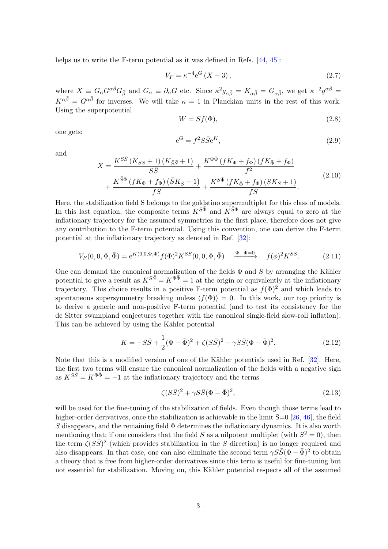helps us to write the F-term potential as it was defined in Refs. [\[44,](#page-11-12) [45\]](#page-11-13):

<span id="page-3-3"></span>
$$
V_F = \kappa^{-4} e^G \left( X - 3 \right), \tag{2.7}
$$

where  $X \equiv G_{\alpha} G^{\alpha \bar{\beta}} G_{\bar{\beta}}$  and  $G_{\alpha} \equiv \partial_{\alpha} G$  etc. Since  $\kappa^2 g_{\alpha \bar{\beta}} = K_{\alpha \bar{\beta}} = G_{\alpha \bar{\beta}}$ , we get  $\kappa^{-2} g^{\alpha \bar{\beta}} =$  $K^{\alpha\bar{\beta}} = G^{\alpha\bar{\beta}}$  for inverses. We will take  $\kappa = 1$  in Planckian units in the rest of this work. Using the superpotential

<span id="page-3-0"></span>
$$
W = Sf(\Phi),\tag{2.8}
$$

one gets:

$$
e^G = f^2 S \bar{S} e^K,
$$
\n(2.9)

and

$$
X = \frac{K^{S\bar{S}}\left(K_{SS}+1\right)\left(K_{\bar{S}\bar{S}}+1\right)}{S\bar{S}} + \frac{K^{\Phi\bar{\Phi}}\left(fK_{\Phi}+f_{\Phi}\right)\left(fK_{\bar{\Phi}}+f_{\Phi}\right)}{f^{2}} + \frac{K^{\bar{S}\Phi}\left(fK_{\Phi}+f_{\Phi}\right)\left(\bar{S}K_{\bar{S}}+1\right)}{f\bar{S}} + \frac{K^{S\bar{\Phi}}\left(fK_{\bar{\Phi}}+f_{\Phi}\right)\left(SK_{S}+1\right)}{fS}.
$$
\n(2.10)

Here, the stabilization field S belongs to the goldstino supermultiplet for this class of models. In this last equation, the composite terms  $K^{S\bar{\Phi}}$  and  $K^{\bar{S}\Phi}$  are always equal to zero at the inflationary trajectory for the assumed symmetries in the first place, therefore does not give any contribution to the F-term potential. Using this convention, one can derive the F-term potential at the inflationary trajectory as denoted in Ref. [\[32\]](#page-11-5):

$$
V_F(0,0,\Phi,\bar{\Phi}) = e^{K(0,0,\Phi,\bar{\Phi})} f(\Phi)^2 K^{S\bar{S}}(0,0,\Phi,\bar{\Phi}) \xrightarrow{\Phi - \bar{\Phi} = 0} f(\phi)^2 K^{S\bar{S}}.
$$
 (2.11)

One can demand the canonical normalization of the fields  $\Phi$  and S by arranging the Kähler potential to give a result as  $K^{S\bar{S}} = K^{\Phi\bar{\Phi}} = 1$  at the origin or equivalently at the inflationary trajectory. This choice results in a positive F-term potential as  $f(\Phi)^2$  and which leads to spontaneous supersymmetry breaking unless  $\langle f(\Phi) \rangle = 0$ . In this work, our top priority is to derive a generic and non-positive F-term potential (and to test its consistency for the de Sitter swampland conjectures together with the canonical single-field slow-roll inflation). This can be achieved by using the Kähler potential

<span id="page-3-2"></span>
$$
K = -S\bar{S} + \frac{1}{2}(\Phi - \bar{\Phi})^2 + \zeta(S\bar{S})^2 + \gamma S\bar{S}(\Phi - \bar{\Phi})^2.
$$
 (2.12)

Note that this is a modified version of one of the Kähler potentials used in Ref. [\[32\]](#page-11-5). Here, the first two terms will ensure the canonical normalization of the fields with a negative sign as  $K^{S\bar{S}} = K^{\Phi\bar{\Phi}} = -1$  at the inflationary trajectory and the terms

<span id="page-3-1"></span>
$$
\zeta(S\bar{S})^2 + \gamma S\bar{S}(\Phi - \bar{\Phi})^2,\tag{2.13}
$$

will be used for the fine-tuning of the stabilization of fields. Even though those terms lead to higher-order derivatives, once the stabilization is achievable in the limit  $S=0$  [\[26,](#page-11-0) [46\]](#page-11-14), the field S disappears, and the remaining field  $\Phi$  determines the inflationary dynamics. It is also worth mentioning that; if one considers that the field S as a nilpotent multiplet (with  $S^2 = 0$ ), then the term  $\zeta (S\bar{S})^2$  (which provides stabilization in the S direction) is no longer required and also disappears. In that case, one can also eliminate the second term  $\gamma S\bar{S}(\Phi - \bar{\Phi})^2$  to obtain a theory that is free from higher-order derivatives since this term is useful for fine-tuning but not essential for stabilization. Moving on, this Kähler potential respects all of the assumed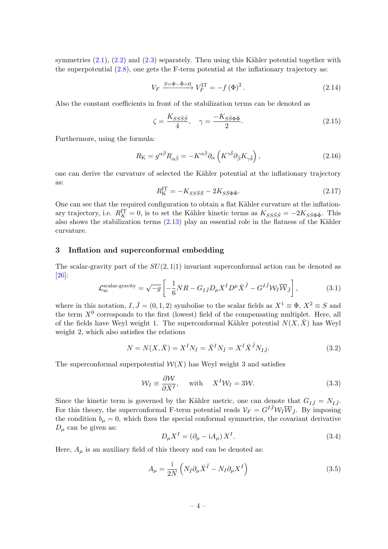symmetries  $(2.1)$ ,  $(2.2)$  and  $(2.3)$  separately. Then using this Kähler potential together with the superpotential  $(2.8)$ , one gets the F-term potential at the inflationary trajectory as:

<span id="page-4-3"></span>
$$
V_F \xrightarrow{S = \Phi - \bar{\Phi} = 0} V_F^{\text{IT}} = -f(\Phi)^2.
$$
\n(2.14)

Also the constant coefficients in front of the stabilization terms can be denoted as

$$
\zeta = \frac{K_{SS\bar{S}\bar{S}}}{4}, \quad \gamma = \frac{-K_{S\bar{S}\Phi\bar{\Phi}}}{2}.
$$
\n(2.15)

Furthermore, using the formula:

$$
R_{\rm K} = g^{\alpha\bar{\beta}} R_{\alpha\bar{\beta}} = -K^{\alpha\bar{\beta}} \partial_{\alpha} \left( K^{\gamma\bar{\delta}} \partial_{\bar{\beta}} K_{\gamma\bar{\delta}} \right), \tag{2.16}
$$

one can derive the curvature of selected the Kähler potential at the inflationary trajectory as:

$$
R_K^{\rm IT} = -K_{SS\bar{S}\bar{S}} - 2K_{S\bar{S}\Phi\bar{\Phi}}.\tag{2.17}
$$

One can see that the required configuration to obtain a flat Kähler curvature at the inflationary trajectory, i.e.  $R_K^{\text{IT}} = 0$ , is to set the Kähler kinetic terms as  $K_{SS\bar{S}\bar{S}} = -2K_{S\bar{S}\Phi\bar{\Phi}}$ . This also shows the stabilization terms  $(2.13)$  play an essential role in the flatness of the Kähler curvature.

#### <span id="page-4-0"></span>3 Inflation and superconformal embedding

The scalar-gravity part of the  $SU(2, 1|1)$  invariant superconformal action can be denoted as [\[26\]](#page-11-0):

<span id="page-4-2"></span>
$$
\mathcal{L}_{\rm sc}^{\rm scalar-gravity} = \sqrt{-g} \left[ -\frac{1}{6} N R - G_{I\bar{J}} D_{\mu} X^{I} D^{\mu} \bar{X}^{\bar{J}} - G^{I\bar{J}} \mathcal{W}_{I} \overline{\mathcal{W}}_{\bar{J}} \right],
$$
(3.1)

where in this notation,  $I, \bar{J} = (0, 1, 2)$  symbolise to the scalar fields as  $X^1 \equiv \Phi$ ,  $X^2 \equiv S$  and the term  $X^0$  corresponds to the first (lowest) field of the compensating multiplet. Here, all of the fields have Weyl weight 1. The superconformal Kähler potential  $N(X,\bar{X})$  has Weyl weight 2, which also satisfies the relations

$$
N = N(X, \bar{X}) = X^I N_I = \bar{X}^I N_{\bar{I}} = X^I \bar{X}^{\bar{J}} N_{I\bar{J}}.
$$
\n(3.2)

The superconformal superpotential  $W(X)$  has Weyl weight 3 and satisfies

<span id="page-4-1"></span>
$$
\mathcal{W}_I \equiv \frac{\partial \mathcal{W}}{\partial X^I}, \quad \text{with} \quad X^I \mathcal{W}_I = 3\mathcal{W}.
$$
 (3.3)

Since the kinetic term is governed by the Kähler metric, one can denote that  $G_{I\bar{J}} = N_{I\bar{J}}$ . For this theory, the superconformal F-term potential reads  $\mathcal{V}_F = G^{I\bar{J}} \mathcal{W}_I \overline{\mathcal{W}}_{\bar{J}}$ . By imposing the condition  $b<sub>u</sub> = 0$ , which fixes the special conformal symmetries, the covariant derivative  $D_{\mu}$  can be given as:

$$
D_{\mu}X^{I} = \left(\partial_{\mu} - \mathrm{i}A_{\mu}\right)X^{I}.\tag{3.4}
$$

Here,  $A_{\mu}$  is an auxiliary field of this theory and can be denoted as:

$$
A_{\mu} = \frac{\mathrm{i}}{2N} \left( N_{\bar{I}} \partial_{\mu} \bar{X}^{\bar{I}} - N_{I} \partial_{\mu} X^{I} \right) \tag{3.5}
$$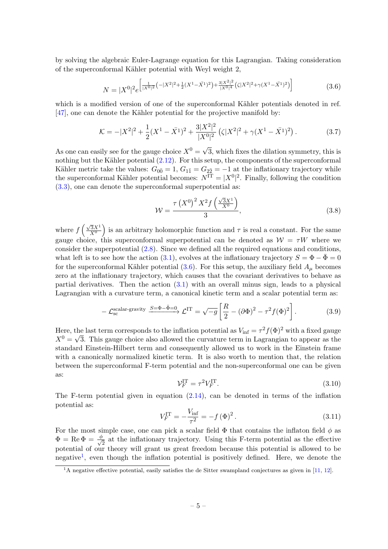by solving the algebraic Euler-Lagrange equation for this Lagrangian. Taking consideration of the superconformal Kähler potential with Weyl weight 2,

<span id="page-5-0"></span>
$$
N = |X^{0}|^{2} e^{\left[\frac{1}{|X^{0}|^{2}}\left(-|X^{2}|^{2}+\frac{1}{2}(X^{1}-\bar{X^{1}})^{2}\right)+\frac{3|X^{2}|^{2}}{|X^{0}|^{4}}\left(\zeta|X^{2}|^{2}+\gamma(X^{1}-\bar{X^{1}})^{2}\right)\right]}
$$
(3.6)

which is a modified version of one of the superconformal Kähler potentials denoted in ref.  $[47]$ , one can denote the Kähler potential for the projective manifold by:

$$
\mathcal{K} = -|X^2|^2 + \frac{1}{2}(X^1 - \bar{X}^1)^2 + \frac{3|X^2|^2}{|X^0|^2} (\zeta |X^2|^2 + \gamma (X^1 - \bar{X}^1)^2).
$$
 (3.7)

As one can easily see for the gauge choice  $X^0 = \sqrt{X^0}$ 3, which fixes the dilation symmetry, this is nothing but the Kähler potential  $(2.12)$ . For this setup, the components of the superconformal Kähler metric take the values:  $G_{0\bar{0}} = 1, G_{1\bar{1}} = G_{2\bar{2}} = -1$  at the inflationary trajectory while the superconformal Kähler potential becomes:  $N<sup>IT</sup> = |X<sup>0</sup>|<sup>2</sup>$ . Finally, following the condition [\(3.3\)](#page-4-1), one can denote the superconformal superpotential as:

<span id="page-5-2"></span>
$$
W = \frac{\tau (X^{0})^{2} X^{2} f\left(\frac{\sqrt{3}X^{1}}{X^{0}}\right)}{3},
$$
\n(3.8)

where  $f\left(\frac{\sqrt{3}X^1}{X^0}\right)$  $\left(\frac{\sqrt{3}X^1}{X^0}\right)$  is an arbitrary holomorphic function and  $\tau$  is real a constant. For the same gauge choice, this superconformal superpotential can be denoted as  $\mathcal{W} = \tau W$  where we consider the superpotential [\(2.8\)](#page-3-0). Since we defined all the required equations and conditions, what left is to see how the action [\(3.1\)](#page-4-2), evolves at the inflationary trajectory  $S = \Phi - \Phi = 0$ for the superconformal Kähler potential  $(3.6)$ . For this setup, the auxiliary field  $A_\mu$  becomes zero at the inflationary trajectory, which causes that the covariant derivatives to behave as partial derivatives. Then the action  $(3.1)$  with an overall minus sign, leads to a physical Lagrangian with a curvature term, a canonical kinetic term and a scalar potential term as:

<span id="page-5-3"></span>
$$
-\mathcal{L}_{\rm sc}^{\rm scalar-gravity} \xrightarrow{S=\Phi-\bar{\Phi}=0} \mathcal{L}^{\rm IT} = \sqrt{-g} \left[ \frac{R}{2} - (\partial \Phi)^2 - \tau^2 f(\Phi)^2 \right]. \tag{3.9}
$$

Here, the last term corresponds to the inflation potential as  $V_{\text{inf}} = \tau^2 f(\Phi)^2$  with a fixed gauge  $X^0 = \sqrt{3}$ . This gauge choice also allowed the curvature term in Lagrangian to appear as the standard Einstein-Hilbert term and consequently allowed us to work in the Einstein frame with a canonically normalized kinetic term. It is also worth to mention that, the relation between the superconformal F-term potential and the non-superconformal one can be given as:

$$
\mathcal{V}_F^{\text{IT}} = \tau^2 V_F^{\text{IT}}.\tag{3.10}
$$

The F-term potential given in equation  $(2.14)$ , can be denoted in terms of the inflation potential as:

<span id="page-5-4"></span>
$$
V_F^{\rm IT} = -\frac{V_{\rm inf}}{\tau^2} = -f(\Phi)^2.
$$
 (3.11)

For the most simple case, one can pick a scalar field  $\Phi$  that contains the inflaton field  $\phi$  as  $\Phi = \text{Re } \Phi = \frac{\phi}{\sqrt{2}}$  at the inflationary trajectory. Using this F-term potential as the effective potential of our theory will grant us great freedom because this potential is allowed to be negative<sup>[1](#page-5-1)</sup>, even though the inflation potential is positively defined. Here, we denote the

<span id="page-5-1"></span> $1<sup>1</sup>$ A negative effective potential, easily satisfies the de Sitter swampland conjectures as given in [\[11,](#page-10-1) [12\]](#page-10-2).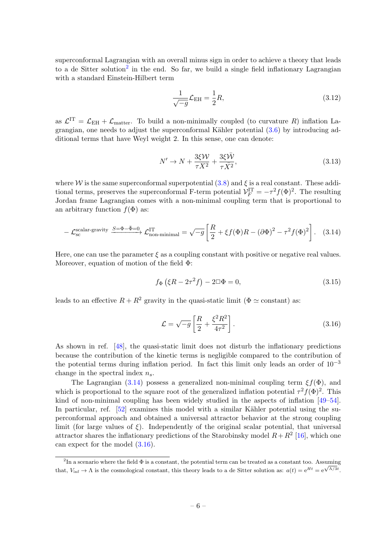superconformal Lagrangian with an overall minus sign in order to achieve a theory that leads to a de Sitter solution<sup>[2](#page-6-0)</sup> in the end. So far, we build a single field inflationary Lagrangian with a standard Einstein-Hilbert term

$$
\frac{1}{\sqrt{-g}} \mathcal{L}_{\rm EH} = \frac{1}{2} R,\tag{3.12}
$$

as  $\mathcal{L}^{\text{IT}} = \mathcal{L}_{\text{EH}} + \mathcal{L}_{\text{matter}}$ . To build a non-minimally coupled (to curvature R) inflation Lagrangian, one needs to adjust the superconformal Kähler potential  $(3.6)$  by introducing additional terms that have Weyl weight 2. In this sense, one can denote:

$$
N' \to N + \frac{3\xi\mathcal{W}}{\tau X^2} + \frac{3\xi\bar{\mathcal{W}}}{\tau \bar{X}^2},\tag{3.13}
$$

where W is the same superconformal superpotential  $(3.8)$  and  $\xi$  is a real constant. These additional terms, preserves the superconformal F-term potential  $\mathcal{V}_F^{\text{IT}} = -\tau^2 f(\Phi)^2$ . The resulting Jordan frame Lagrangian comes with a non-minimal coupling term that is proportional to an arbitrary function  $f(\Phi)$  as:

<span id="page-6-1"></span>
$$
-\mathcal{L}_{\rm sc}^{\rm scalar-gravity} \xrightarrow{S=\Phi-\bar{\Phi}=0} \mathcal{L}_{\rm non-minimal}^{\rm IT} = \sqrt{-g} \left[ \frac{R}{2} + \xi f(\Phi)R - (\partial \Phi)^2 - \tau^2 f(\Phi)^2 \right]. \tag{3.14}
$$

Here, one can use the parameter  $\xi$  as a coupling constant with positive or negative real values. Moreover, equation of motion of the field  $\Phi$ :

$$
f_{\Phi}(\xi R - 2\tau^2 f) - 2\Box \Phi = 0, \tag{3.15}
$$

leads to an effective  $R + R^2$  gravity in the quasi-static limit ( $\Phi \simeq$  constant) as:

<span id="page-6-2"></span>
$$
\mathcal{L} = \sqrt{-g} \left[ \frac{R}{2} + \frac{\xi^2 R^2}{4\tau^2} \right].
$$
\n(3.16)

As shown in ref. [\[48\]](#page-12-1), the quasi-static limit does not disturb the inflationary predictions because the contribution of the kinetic terms is negligible compared to the contribution of the potential terms during inflation period. In fact this limit only leads an order of  $10^{-3}$ change in the spectral index  $n_s$ .

The Lagrangian [\(3.14\)](#page-6-1) possess a generalized non-minimal coupling term  $\xi f(\Phi)$ , and which is proportional to the square root of the generalized inflation potential  $\tau^2 f(\Phi)^2$ . This kind of non-minimal coupling has been widely studied in the aspects of inflation [\[49–](#page-12-2)[54\]](#page-12-3). In particular, ref.  $[52]$  examines this model with a similar Kähler potential using the superconformal approach and obtained a universal attractor behavior at the strong coupling limit (for large values of  $\xi$ ). Independently of the original scalar potential, that universal attractor shares the inflationary predictions of the Starobinsky model  $R + R^2$  [\[16\]](#page-10-4), which one can expect for the model [\(3.16\)](#page-6-2).

<span id="page-6-0"></span><sup>&</sup>lt;sup>2</sup>In a scenario where the field  $\Phi$  is a constant, the potential term can be treated as a constant too. Assuming that,  $V_{\text{inf}} \to \Lambda$  is the cosmological constant, this theory leads to a de Sitter solution as:  $a(t) = e^{Ht} = e^{\sqrt{\Lambda/3}t}$ .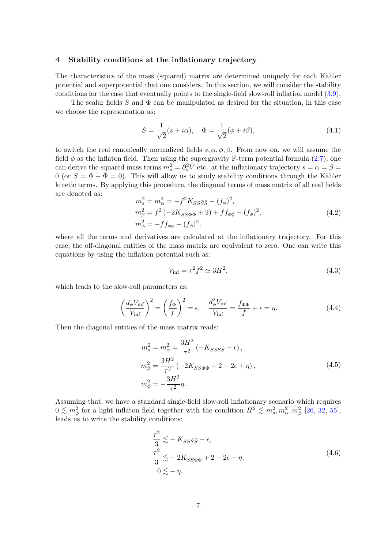#### <span id="page-7-0"></span>4 Stability conditions at the inflationary trajectory

The characteristics of the mass (squared) matrix are determined uniquely for each Kähler potential and superpotential that one considers. In this section, we will consider the stability conditions for the case that eventually points to the single-field slow-roll inflation model [\(3.9\)](#page-5-3).

The scalar fields S and  $\Phi$  can be manipulated as desired for the situation, in this case we choose the representation as:

$$
S = \frac{1}{\sqrt{2}}(s + i\alpha), \quad \Phi = \frac{1}{\sqrt{2}}(\phi + i\beta),
$$
\n(4.1)

to switch the real canonically normalized fields  $s, \alpha, \phi, \beta$ . From now on, we will assume the field  $\phi$  as the inflaton field. Then using the supergravity F-term potential formula [\(2.7\)](#page-3-3), one can derive the squared mass terms  $m_s^2 = \partial_s^2 V$  etc. at the inflationary trajectory  $s = \alpha = \beta =$ 0 (or  $S = \Phi - \bar{\Phi} = 0$ ). This will allow us to study stability conditions through the Kähler kinetic terms. By applying this procedure, the diagonal terms of mass matrix of all real fields are denoted as:

$$
m_s^2 = m_\alpha^2 = -f^2 K_{SS\bar{S}\bar{S}} - (f_\phi)^2,
$$
  
\n
$$
m_\beta^2 = f^2 (-2K_{S\bar{S}\Phi\bar{\Phi}} + 2) + ff_{\phi\phi} - (f_\phi)^2,
$$
  
\n
$$
m_\phi^2 = -ff_{\phi\phi} - (f_\phi)^2,
$$
\n(4.2)

where all the terms and derivatives are calculated at the inflationary trajectory. For this case, the off-diagonal entities of the mass matrix are equivalent to zero. One can write this equations by using the inflation potential such as:

$$
V_{\rm inf} = \tau^2 f^2 \simeq 3H^2,\tag{4.3}
$$

which leads to the slow-roll parameters as:

$$
\left(\frac{d_{\phi}V_{\rm inf}}{V_{\rm inf}}\right)^{2} = \left(\frac{f_{\Phi}}{f}\right)^{2} = \epsilon, \quad \frac{d_{\phi}^{2}V_{\rm inf}}{V_{\rm inf}} = \frac{f_{\Phi\Phi}}{f} + \epsilon = \eta. \tag{4.4}
$$

Then the diagonal entities of the mass matrix reads:

<span id="page-7-1"></span>
$$
m_s^2 = m_\alpha^2 = \frac{3H^2}{\tau^2} \left( -K_{SS\bar{S}\bar{S}} - \epsilon \right),
$$
  
\n
$$
m_\beta^2 = \frac{3H^2}{\tau^2} \left( -2K_{S\bar{S}\Phi\bar{\Phi}} + 2 - 2\epsilon + \eta \right),
$$
  
\n
$$
m_\phi^2 = -\frac{3H^2}{\tau^2} \eta.
$$
\n(4.5)

Assuming that, we have a standard single-field slow-roll inflationary scenario which requires  $0 \lesssim m_\phi^2$  for a light inflaton field together with the condition  $H^2 \lesssim m_s^2, m_\alpha^2, m_\beta^2$  [\[26,](#page-11-0) [32,](#page-11-5) [55\]](#page-12-5), leads us to write the stability conditions:

<span id="page-7-2"></span>
$$
\frac{\tau^2}{3} \lesssim -K_{SS\bar{S}\bar{S}} - \epsilon,
$$
  
\n
$$
\frac{\tau^2}{3} \lesssim -2K_{S\bar{S}\Phi\bar{\Phi}} + 2 - 2\epsilon + \eta,
$$
  
\n
$$
0 \lesssim -\eta.
$$
\n(4.6)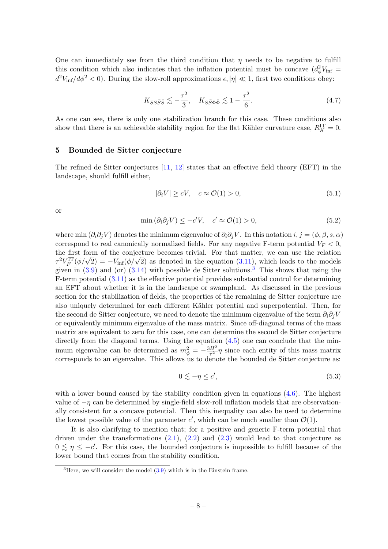One can immediately see from the third condition that  $\eta$  needs to be negative to fulfill this condition which also indicates that the inflation potential must be concave  $(d_{\phi}^2 V_{\text{inf}} =$  $d^2V_{\text{inf}}/d\phi^2 < 0$ ). During the slow-roll approximations  $\epsilon, |\eta| \ll 1$ , first two conditions obey:

$$
K_{SS\bar{S}\bar{S}} \lesssim -\frac{\tau^2}{3}, \quad K_{S\bar{S}\Phi\bar{\Phi}} \lesssim 1 - \frac{\tau^2}{6}.\tag{4.7}
$$

As one can see, there is only one stabilization branch for this case. These conditions also show that there is an achievable stability region for the flat Kähler curvature case,  $R_K^{\text{IT}} = 0$ .

#### <span id="page-8-0"></span>5 Bounded de Sitter conjecture

The refined de Sitter conjectures [\[11,](#page-10-1) [12\]](#page-10-2) states that an effective field theory (EFT) in the landscape, should fulfill either,

$$
|\partial_i V| \ge cV, \quad c \approx \mathcal{O}(1) > 0,\tag{5.1}
$$

or

$$
\min(\partial_i \partial_j V) \le -c'V, \quad c' \approx \mathcal{O}(1) > 0,\tag{5.2}
$$

where min  $(\partial_i \partial_j V)$  denotes the minimum eigenvalue of  $\partial_i \partial_j V$ . In this notation  $i, j = (\phi, \beta, s, \alpha)$ correspond to real canonically normalized fields. For any negative F-term potential  $V_F < 0$ , the first form of the conjecture becomes trivial. For that matter, we can use the relation the first form of the conjecture becomes trivial. For that matter, we can use the relation  $\tau^2 V_F^{\text{IT}}(\phi/\sqrt{2}) = -V_{\text{inf}}(\phi/\sqrt{2})$  as denoted in the equation  $(3.11)$ , which leads to the models given in  $(3.9)$  and (or)  $(3.14)$  with possible de Sitter solutions.<sup>[3](#page-8-1)</sup> This shows that using the F-term potential [\(3.11\)](#page-5-4) as the effective potential provides substantial control for determining an EFT about whether it is in the landscape or swampland. As discussed in the previous section for the stabilization of fields, the properties of the remaining de Sitter conjecture are also uniquely determined for each different Kähler potential and superpotential. Then, for the second de Sitter conjecture, we need to denote the minimum eigenvalue of the term  $\partial_i \partial_j V$ or equivalently minimum eigenvalue of the mass matrix. Since off-diagonal terms of the mass matrix are equivalent to zero for this case, one can determine the second de Sitter conjecture directly from the diagonal terms. Using the equation  $(4.5)$  one can conclude that the minimum eigenvalue can be determined as  $m_{\phi}^2 = -\frac{3H^2}{\tau^2}$  $\frac{dH^2}{dt^2}\eta$  since each entity of this mass matrix corresponds to an eigenvalue. This allows us to denote the bounded de Sitter conjecture as:

$$
0 \lesssim -\eta \le c',\tag{5.3}
$$

with a lower bound caused by the stability condition given in equations  $(4.6)$ . The highest value of  $-\eta$  can be determined by single-field slow-roll inflation models that are observationally consistent for a concave potential. Then this inequality can also be used to determine the lowest possible value of the parameter  $c'$ , which can be much smaller than  $\mathcal{O}(1)$ .

It is also clarifying to mention that; for a positive and generic F-term potential that driven under the transformations  $(2.1)$ ,  $(2.2)$  and  $(2.3)$  would lead to that conjecture as  $0 \leq \eta \leq -c'$ . For this case, the bounded conjecture is impossible to fulfill because of the lower bound that comes from the stability condition.

<span id="page-8-1"></span> $3^3$ Here, we will consider the model  $(3.9)$  which is in the Einstein frame.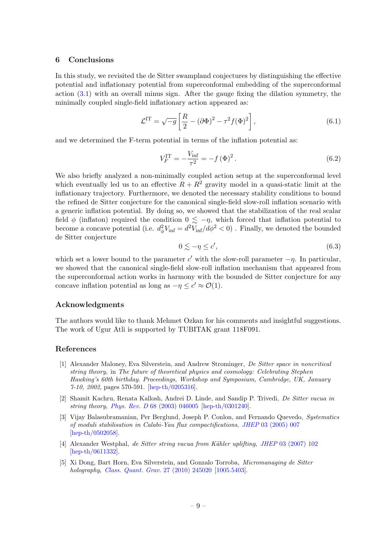### <span id="page-9-0"></span>6 Conclusions

In this study, we revisited the de Sitter swampland conjectures by distinguishing the effective potential and inflationary potential from superconformal embedding of the superconformal action  $(3.1)$  with an overall minus sign. After the gauge fixing the dilation symmetry, the minimally coupled single-field inflationary action appeared as:

$$
\mathcal{L}^{\mathrm{IT}} = \sqrt{-g} \left[ \frac{R}{2} - (\partial \Phi)^2 - \tau^2 f(\Phi)^2 \right],\tag{6.1}
$$

and we determined the F-term potential in terms of the inflation potential as:

$$
V_F^{\rm IT} = -\frac{V_{\rm inf}}{\tau^2} = -f(\Phi)^2.
$$
 (6.2)

We also briefly analyzed a non-minimally coupled action setup at the superconformal level which eventually led us to an effective  $R + R^2$  gravity model in a quasi-static limit at the inflationary trajectory. Furthermore, we denoted the necessary stability conditions to bound the refined de Sitter conjecture for the canonical single-field slow-roll inflation scenario with a generic inflation potential. By doing so, we showed that the stabilization of the real scalar field  $\phi$  (inflaton) required the condition  $0 \leq -\eta$ , which forced that inflation potential to become a concave potential (i.e.  $d_{\phi}^2 V_{\text{inf}} = d^2 V_{\text{inf}}/d\phi^2 < 0$ ). Finally, we denoted the bounded de Sitter conjecture

$$
0 \lesssim -\eta \le c',\tag{6.3}
$$

which set a lower bound to the parameter c' with the slow-roll parameter  $-\eta$ . In particular, we showed that the canonical single-field slow-roll inflation mechanism that appeared from the superconformal action works in harmony with the bounded de Sitter conjecture for any concave inflation potential as long as  $-\eta \leq c' \approx \mathcal{O}(1)$ .

#### Acknowledgments

The authors would like to thank Mehmet Ozkan for his comments and insightful suggestions. The work of Ugur Atli is supported by TUBITAK grant 118F091.

#### References

- <span id="page-9-1"></span>[1] Alexander Maloney, Eva Silverstein, and Andrew Strominger, De Sitter space in noncritical string theory, in The future of theoretical physics and cosmology: Celebrating Stephen Hawking's 60th birthday. Proceedings, Workshop and Symposium, Cambridge, UK, January 7-10, 2002, pages 570-591. [\[hep-th/0205316\]](https://arxiv.org/abs/hep-th/0205316).
- [2] Shamit Kachru, Renata Kallosh, Andrei D. Linde, and Sandip P. Trivedi, De Sitter vacua in string theory, Phys. Rev. D [68 \(2003\) 046005]( https://doi.org/10.1103/PhysRevD.68.046005) [\[hep-th/0301240\]](https://arxiv.org/abs/hep-th/0301240).
- [3] Vijay Balasubramanian, Per Berglund, Joseph P. Conlon, and Fernando Quevedo, Systematics of moduli stabilisation in Calabi-Yau flux compactifications, JHEP [03 \(2005\) 007]( https://doi.org/10.1088/1126-6708/2005/03/007) [\[hep-th/0502058\]](https://arxiv.org/abs/hep-th/0502058).
- [4] Alexander Westphal, de Sitter string vacua from Kähler uplifting, JHEP [03 \(2007\) 102]( https://doi.org/10.1088/1126-6708/2007/03/102) [\[hep-th/0611332\]](https://arxiv.org/abs/hep-th/0611332).
- [5] Xi Dong, Bart Horn, Eva Silverstein, and Gonzalo Torroba, Micromanaging de Sitter holography, [Class. Quant. Grav.]( https://doi.org/10.1088/0264-9381/27/24/245020) 27 (2010) 245020 [\[1005.5403\]](https://arxiv.org/abs/1005.5403).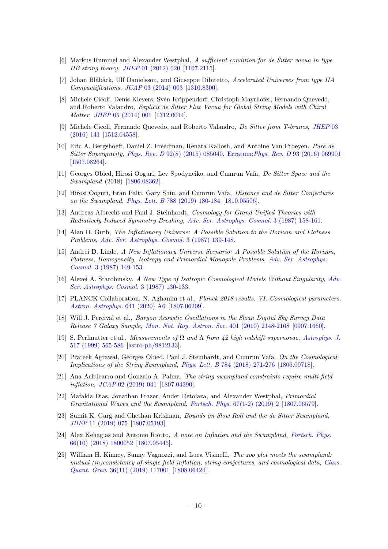- [6] Markus Rummel and Alexander Westphal, A sufficient condition for de Sitter vacua in type IIB string theory, JHEP [01 \(2012\) 020]( https://doi.org/10.1007/JHEP01(2012)020) [\[1107.2115\]](https://arxiv.org/abs/1107.2115).
- [7] Johan Blåbäck, Ulf Danielsson, and Giuseppe Dibitetto, Accelerated Universes from type IIA Compactifications, JCAP [03 \(2014\) 003]( https://doi.org/10.1088/1475-7516/2014/03/003) [\[1310.8300\]](https://arxiv.org/abs/1310.8300).
- [8] Michele Cicoli, Denis Klevers, Sven Krippendorf, Christoph Mayrhofer, Fernando Quevedo, and Roberto Valandro, Explicit de Sitter Flux Vacua for Global String Models with Chiral Matter, JHEP [05 \(2014\) 001]( https://doi.org/10.1007/JHEP05(2014)001) [\[1312.0014\]](https://arxiv.org/abs/1312.0014).
- [9] Michele Cicoli, Fernando Quevedo, and Roberto Valandro, De Sitter from T-branes, [JHEP]( https://doi.org/10.1007/JHEP03(2016)141) 03 [\(2016\) 141]( https://doi.org/10.1007/JHEP03(2016)141) [\[1512.04558\]](https://arxiv.org/abs/1512.04558).
- <span id="page-10-0"></span>[10] Eric A. Bergshoeff, Daniel Z. Freedman, Renata Kallosh, and Antoine Van Proeyen, Pure de Sitter Supergravity, Phys. Rev. D [92\(8\) \(2015\) 085040,]( https://doi.org/10.1103/PhysRevD.92.085040) Erratum:Phys. Rev. D [93 \(2016\) 069901]( https://doi.org/10.1103/PhysRevD.93.069901) [\[1507.08264\]](https://arxiv.org/abs/1507.08264).
- <span id="page-10-1"></span>[11] Georges Obied, Hirosi Ooguri, Lev Spodyneiko, and Cumrun Vafa, De Sitter Space and the Swampland (2018) [\[1806.08362\]](https://arxiv.org/abs/1806.08362).
- <span id="page-10-2"></span>[12] Hirosi Ooguri, Eran Palti, Gary Shiu, and Cumrun Vafa, Distance and de Sitter Conjectures on the Swampland, Phys. Lett. B [788 \(2019\) 180-184]( https://doi.org/10.1016/j.physletb.2018.11.018) [\[1810.05506\]](https://arxiv.org/abs/1810.05506).
- <span id="page-10-3"></span>[13] Andreas Albrecht and Paul J. Steinhardt, Cosmology for Grand Unified Theories with Radiatively Induced Symmetry Breaking, [Adv. Ser. Astrophys. Cosmol.]( https://doi.org/10.1103/PhysRevLett.48.1220) 3 (1987) 158-161.
- [14] Alan H. Guth, The Inflationary Universe: A Possible Solution to the Horizon and Flatness Problems, [Adv. Ser. Astrophys. Cosmol.]( https://doi.org/10.1103/PhysRevD.23.347) 3 (1987) 139-148.
- [15] Andrei D. Linde, A New Inflationary Universe Scenario: A Possible Solution of the Horizon, Flatness, Homogeneity, Isotropy and Primordial Monopole Problems, [Adv. Ser. Astrophys.]( https://doi.org/10.1016/0370-2693(82)91219-9) Cosmol. [3 \(1987\) 149-153.]( https://doi.org/10.1016/0370-2693(82)91219-9)
- <span id="page-10-4"></span>[16] Alexei A. Starobinsky. A New Type of Isotropic Cosmological Models Without Singularity, [Adv.]( https://doi.org/10.1016/0370-2693(80)90670-X) [Ser. Astrophys. Cosmol.]( https://doi.org/10.1016/0370-2693(80)90670-X) 3 (1987) 130-133.
- <span id="page-10-5"></span>[17] PLANCK Collaboration, N. Aghanim et al., Planck 2018 results. VI. Cosmological parameters, [Astron. Astrophys.]( https://doi.org/10.1051/0004-6361/201833910) 641 (2020) A6 [\[1807.06209\]](https://arxiv.org/abs/1807.06209).
- [18] Will J. Percival et al., Baryon Acoustic Oscillations in the Sloan Digital Sky Survey Data Release 7 Galaxy Sample, [Mon. Not. Roy. Astron. Soc.]( https://doi.org/10.1111/j.1365-2966.2009.15812.x) 401 (2010) 2148-2168 [\[0907.1660\]](https://arxiv.org/abs/0907.1660).
- <span id="page-10-6"></span>[19] S. Perlmutter et al., Measurements of  $\Omega$  and  $\Lambda$  from 42 high redshift supernovae, [Astrophys. J.]( https://doi.org/10.1086/307221) [517 \(1999\) 565-586]( https://doi.org/10.1086/307221) [\[astro-ph/9812133\]](https://arxiv.org/abs/astro-ph/9812133).
- <span id="page-10-7"></span>[20] Prateek Agrawal, Georges Obied, Paul J. Steinhardt, and Cumrun Vafa, On the Cosmological Implications of the String Swampland, Phys. Lett. B [784 \(2018\) 271-276]( https://doi.org/10.1016/j.physletb.2018.07.040) [\[1806.09718\]](https://arxiv.org/abs/1806.09718).
- [21] Ana Achúcarro and Gonzalo A. Palma, The string swampland constraints require multi-field inflation, JCAP [02 \(2019\) 041]( https://doi.org/10.1088/1475-7516/2019/02/041) [\[1807.04390\]](https://arxiv.org/abs/1807.04390).
- [22] Mafalda Dias, Jonathan Frazer, Ander Retolaza, and Alexander Westphal, Primordial Gravitational Waves and the Swampland, Fortsch. Phys. [67\(1-2\) \(2019\) 2]( https://doi.org/10.1002/prop.201800063) [\[1807.06579\]](https://arxiv.org/abs/1807.06579).
- [23] Sumit K. Garg and Chethan Krishnan, Bounds on Slow Roll and the de Sitter Swampland, JHEP [11 \(2019\) 075]( https://doi.org/10.1007/JHEP11(2019)075) [\[1807.05193\]](https://arxiv.org/abs/1807.05193).
- [24] Alex Kehagias and Antonio Riotto, A note on Inflation and the Swampland, [Fortsch. Phys.]( https://doi.org/10.1002/prop.201800052) [66\(10\) \(2018\) 1800052]( https://doi.org/10.1002/prop.201800052) [\[1807.05445\]](https://arxiv.org/abs/1807.05445).
- <span id="page-10-8"></span>[25] William H. Kinney, Sunny Vagnozzi, and Luca Visinelli, The zoo plot meets the swampland: mutual (in)consistency of single-field inflation, string conjectures, and cosmological data, [Class.]( https://doi.org/10.1088/1361-6382/ab1d87) Quant. Grav. [36\(11\) \(2019\) 117001]( https://doi.org/10.1088/1361-6382/ab1d87) [\[1808.06424\]](https://arxiv.org/abs/1808.06424).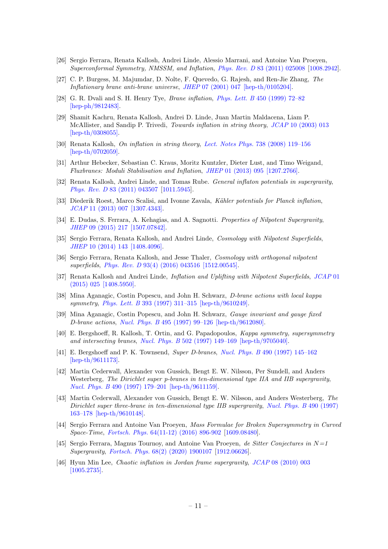- <span id="page-11-0"></span>[26] Sergio Ferrara, Renata Kallosh, Andrei Linde, Alessio Marrani, and Antoine Van Proeyen, Superconformal Symmetry, NMSSM, and Inflation, Phys. Rev. D [83 \(2011\) 025008]( https://doi.org/10.1103/PhysRevD.83.025008) [\[1008.2942\]](https://arxiv.org/abs/1008.2942).
- <span id="page-11-1"></span>[27] C. P. Burgess, M. Majumdar, D. Nolte, F. Quevedo, G. Rajesh, and Ren-Jie Zhang, The Inflationary brane anti-brane universe, JHEP [07 \(2001\) 047](https://doi.org/10.1088/1126-6708/2001/07/047) [\[hep-th/0105204\].](https://arxiv.org/abs/hep-th/0105204)
- [28] G. R. Dvali and S. H. Henry Tye, Brane inflation, Phys. Lett. B [450 \(1999\) 72–82](https://doi.org/10.1016/S0370-2693(99)00132-X) [\[hep-ph/9812483\].](https://arxiv.org/abs/hep-ph/9812483)
- <span id="page-11-2"></span>[29] Shamit Kachru, Renata Kallosh, Andrei D. Linde, Juan Martin Maldacena, Liam P. McAllister, and Sandip P. Trivedi, *Towards inflation in string theory, JCAP* [10 \(2003\) 013](https://doi.org/10.1088/1475-7516/2003/10/013) [\[hep-th/0308055\].](https://arxiv.org/abs/hep-th/0308055)
- <span id="page-11-3"></span>[30] Renata Kallosh, On inflation in string theory, Lect. Notes Phys. [738 \(2008\) 119–156](https://doi.org/10.1007/978-3-540-74353-8_4) [\[hep-th/0702059\].](https://arxiv.org/abs/hep-th/0702059)
- <span id="page-11-4"></span>[31] Arthur Hebecker, Sebastian C. Kraus, Moritz Kuntzler, Dieter Lust, and Timo Weigand, Fluxbranes: Moduli Stabilisation and Inflation, JHEP [01 \(2013\) 095](https://doi.org/10.1007/JHEP01(2013)095) [\[1207.2766\].](https://arxiv.org/abs/1207.2766)
- <span id="page-11-5"></span>[32] Renata Kallosh, Andrei Linde, and Tomas Rube. General inflaton potentials in supergravity, Phys. Rev. D [83 \(2011\) 043507](https://doi.org/10.1103/PhysRevD.83.043507) [\[1011.5945\]](https://arxiv.org/abs/1011.5945).
- <span id="page-11-6"></span>[33] Diederik Roest, Marco Scalisi, and Ivonne Zavala, Kähler potentials for Planck inflation, JCAP [11 \(2013\) 007](https://doi.org/10.1088/1475-7516/2013/11/007) [\[1307.4343\].](https://arxiv.org/abs/1307.4343)
- <span id="page-11-7"></span>[34] E. Dudas, S. Ferrara, A. Kehagias, and A. Sagnotti. Properties of Nilpotent Supergravity, JHEP [09 \(2015\) 217](https://doi.org/10.1007/JHEP09(2015)217) [\[1507.07842\].](https://arxiv.org/abs/1507.07842)
- <span id="page-11-9"></span>[35] Sergio Ferrara, Renata Kallosh, and Andrei Linde, Cosmology with Nilpotent Superfields, JHEP [10 \(2014\) 143](https://doi.org/10.1007/JHEP10(2014)143) [\[1408.4096\].](https://arxiv.org/abs/1408.4096)
- [36] Sergio Ferrara, Renata Kallosh, and Jesse Thaler, Cosmology with orthogonal nilpotent superfields, Phys. Rev. D [93\(4\) \(2016\) 043516](https://doi.org/10.1103/PhysRevD.93.043516) [\[1512.00545\].](https://arxiv.org/abs/1512.00545)
- <span id="page-11-8"></span>[37] Renata Kallosh and Andrei Linde, Inflation and Uplifting with Nilpotent Superfields, [JCAP](https://doi.org/10.1088/1475-7516/2015/01/025) 01 [\(2015\) 025](https://doi.org/10.1088/1475-7516/2015/01/025) [\[1408.5950\].](https://arxiv.org/abs/1408.5950)
- <span id="page-11-10"></span>[38] Mina Aganagic, Costin Popescu, and John H. Schwarz, D-brane actions with local kappa symmetry, Phys. Lett. B [393 \(1997\) 311–315](https://doi.org/10.1016/S0370-2693(96)01643-7) [\[hep-th/9610249\].](https://arxiv.org/abs/hep-th/9610249)
- [39] Mina Aganagic, Costin Popescu, and John H. Schwarz, Gauge invariant and gauge fixed D-brane actions, Nucl. Phys. B [495 \(1997\) 99–126](https://doi.org/10.1016/S0550-3213(97)00180-6) [\[hep-th/9612080\].](https://arxiv.org/abs/hep-th/9612080)
- [40] E. Bergshoeff, R. Kallosh, T. Ortin, and G. Papadopoulos, Kappa symmetry, supersymmetry and intersecting branes, Nucl. Phys. B [502 \(1997\) 149–169](https://doi.org/10.1016/S0550-3213(97)00470-7) [\[hep-th/9705040\].](https://arxiv.org/abs/hep-th/9705040)
- [41] E. Bergshoeff and P. K. Townsend, Super D-branes, Nucl. Phys. B [490 \(1997\) 145–162](https://doi.org/10.1016/S0550-3213(97)00072-2) [\[hep-th/9611173\].](https://arxiv.org/abs/hep-th/9611173)
- [42] Martin Cederwall, Alexander von Gussich, Bengt E. W. Nilsson, Per Sundell, and Anders Westerberg, The Dirichlet super p-branes in ten-dimensional type IIA and IIB supergravity, Nucl. Phys. B [490 \(1997\) 179–201](https://doi.org/10.1016/S0550-3213(97)00075-8) [\[hep-th/9611159\].](https://arxiv.org/abs/hep-th/9611159)
- <span id="page-11-11"></span>[43] Martin Cederwall, Alexander von Gussich, Bengt E. W. Nilsson, and Anders Westerberg, The Dirichlet super three-brane in ten-dimensional type IIB supergravity, [Nucl. Phys. B](https://doi.org/10.1016/S0550-3213(97)00071-0) 490 (1997) [163–178](https://doi.org/10.1016/S0550-3213(97)00071-0) [\[hep-th/9610148\].](https://arxiv.org/abs/hep-th/9610148)
- <span id="page-11-12"></span>[44] Sergio Ferrara and Antoine Van Proeyen, Mass Formulae for Broken Supersymmetry in Curved Space-Time, Fortsch. Phys. [64\(11-12\) \(2016\) 896-902]( https://doi.org/10.1002/prop.201600100) [\[1609.08480\]](https://arxiv.org/abs/1609.08480).
- <span id="page-11-13"></span>[45] Sergio Ferrara, Magnus Tournoy, and Antoine Van Proeyen, de Sitter Conjectures in  $N=1$ Supergravity, Fortsch. Phys. [68\(2\) \(2020\) 1900107]( https://doi.org/10.1002/prop.201900107) [\[1912.06626\]](https://arxiv.org/abs/1912.06626).
- <span id="page-11-14"></span>[46] Hyun Min Lee, Chaotic inflation in Jordan frame supergravity, JCAP [08 \(2010\) 003](https://doi.org/10.1088/1475-7516/2010/08/003) [\[1005.2735\].](https://arxiv.org/abs/1005.2735)